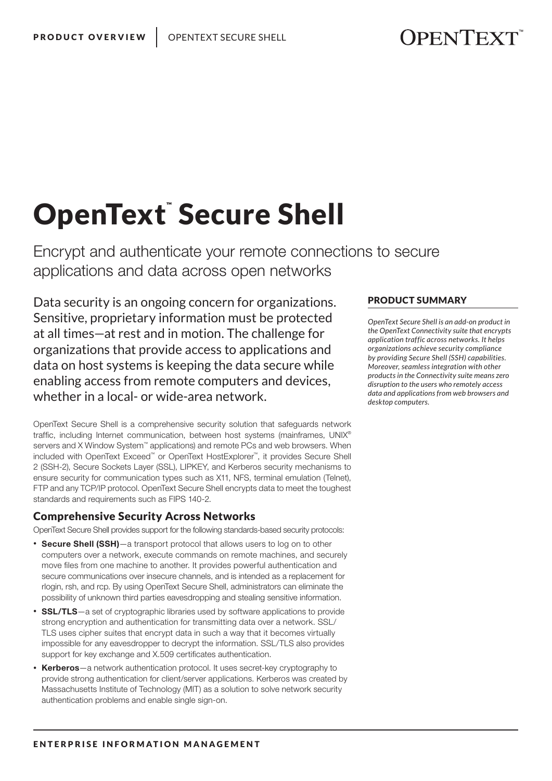# OpenText Secure Shell

Encrypt and authenticate your remote connections to secure applications and data across open networks

Data security is an ongoing concern for organizations. Sensitive, proprietary information must be protected at all times—at rest and in motion. The challenge for organizations that provide access to applications and data on host systems is keeping the data secure while enabling access from remote computers and devices, whether in a local- or wide-area network.

OpenText Secure Shell is a comprehensive security solution that safeguards network traffic, including Internet communication, between host systems (mainframes, UNIX® servers and X Window System™ applications) and remote PCs and web browsers. When included with OpenText Exceed™ or OpenText HostExplorer™, it provides Secure Shell 2 (SSH-2), Secure Sockets Layer (SSL), LIPKEY, and Kerberos security mechanisms to ensure security for communication types such as X11, NFS, terminal emulation (Telnet), FTP and any TCP/IP protocol. OpenText Secure Shell encrypts data to meet the toughest standards and requirements such as FIPS 140-2.

#### Comprehensive Security Across Networks

OpenText Secure Shell provides support for the following standards-based security protocols:

- Secure Shell (SSH)—a transport protocol that allows users to log on to other computers over a network, execute commands on remote machines, and securely move files from one machine to another. It provides powerful authentication and secure communications over insecure channels, and is intended as a replacement for rlogin, rsh, and rcp. By using OpenText Secure Shell, administrators can eliminate the possibility of unknown third parties eavesdropping and stealing sensitive information.
- SSL/TLS—a set of cryptographic libraries used by software applications to provide strong encryption and authentication for transmitting data over a network. SSL/ TLS uses cipher suites that encrypt data in such a way that it becomes virtually impossible for any eavesdropper to decrypt the information. SSL/TLS also provides support for key exchange and X.509 certificates authentication.
- Kerberos-a network authentication protocol. It uses secret-key cryptography to provide strong authentication for client/server applications. Kerberos was created by Massachusetts Institute of Technology (MIT) as a solution to solve network security authentication problems and enable single sign-on.

#### PRODUCT SUMMARY

*OpenText Secure Shell is an add-on product in the OpenText Connectivity suite that encrypts application traffic across networks. It helps organizations achieve security compliance by providing Secure Shell (SSH) capabilities. Moreover, seamless integration with other products in the Connectivity suite means zero disruption to the users who remotely access data and applications from web browsers and desktop computers.*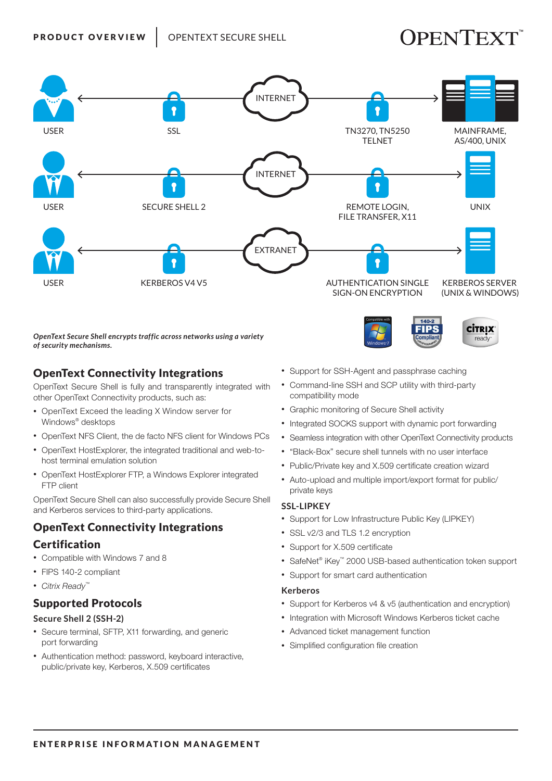## **JPENTEXT**

ready



*OpenText Secure Shell encrypts traffic across networks using a variety of security mechanisms.*

#### OpenText Connectivity Integrations

OpenText Secure Shell is fully and transparently integrated with other OpenText Connectivity products, such as:

- OpenText Exceed the leading X Window server for Windows® desktops
- OpenText NFS Client, the de facto NFS client for Windows PCs
- OpenText HostExplorer, the integrated traditional and web-tohost terminal emulation solution
- OpenText HostExplorer FTP, a Windows Explorer integrated FTP client

OpenText Secure Shell can also successfully provide Secure Shell and Kerberos services to third-party applications.

#### OpenText Connectivity Integrations

#### Certification

- Compatible with Windows 7 and 8
- FIPS 140-2 compliant
- *Citrix Ready*™

#### Supported Protocols

#### **Secure Shell 2 (SSH-2)**

- Secure terminal, SFTP, X11 forwarding, and generic port forwarding
- Authentication method: password, keyboard interactive, public/private key, Kerberos, X.509 certificates
- Support for SSH-Agent and passphrase caching
- Command-line SSH and SCP utility with third-party compatibility mode
- Graphic monitoring of Secure Shell activity
- Integrated SOCKS support with dynamic port forwarding
- Seamless integration with other OpenText Connectivity products
- "Black-Box" secure shell tunnels with no user interface
- Public/Private key and X.509 certificate creation wizard
- Auto-upload and multiple import/export format for public/ private keys

#### **SSL-LIPKEY**

- Support for Low Infrastructure Public Key (LIPKEY)
- SSL v2/3 and TLS 1.2 encryption
- Support for X.509 certificate
- SafeNet® iKey™ 2000 USB-based authentication token support
- Support for smart card authentication

#### **Kerberos**

- Support for Kerberos v4 & v5 (authentication and encryption)
- Integration with Microsoft Windows Kerberos ticket cache
- Advanced ticket management function
- Simplified configuration file creation